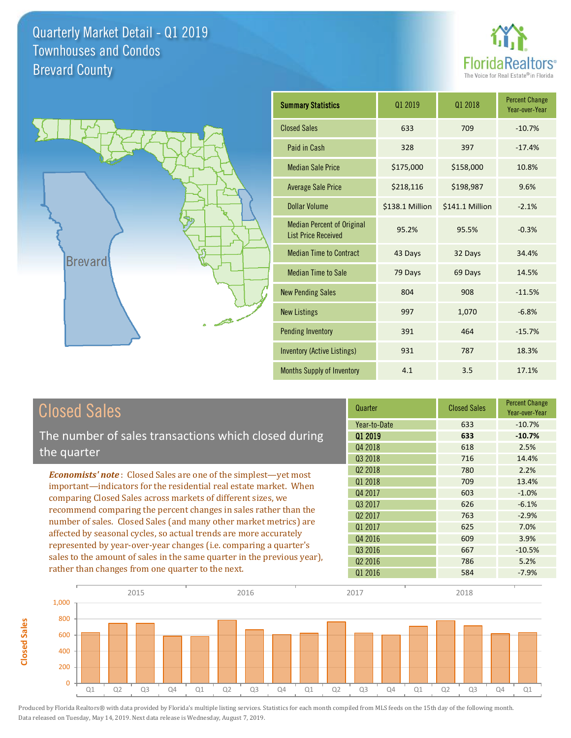



**Closed Sales**

**Closed Sales** 

| <b>Summary Statistics</b>                                       | 01 2019         | 01 2018         | <b>Percent Change</b><br>Year-over-Year |
|-----------------------------------------------------------------|-----------------|-----------------|-----------------------------------------|
| <b>Closed Sales</b>                                             | 633             | 709             | $-10.7%$                                |
| Paid in Cash                                                    | 328             | 397             | $-17.4%$                                |
| <b>Median Sale Price</b>                                        | \$175,000       | \$158,000       | 10.8%                                   |
| <b>Average Sale Price</b>                                       | \$218,116       | \$198,987       | 9.6%                                    |
| Dollar Volume                                                   | \$138.1 Million | \$141.1 Million | $-2.1%$                                 |
| <b>Median Percent of Original</b><br><b>List Price Received</b> | 95.2%           | 95.5%           | $-0.3%$                                 |
| <b>Median Time to Contract</b>                                  | 43 Days         | 32 Days         | 34.4%                                   |
| <b>Median Time to Sale</b>                                      | 79 Days         | 69 Days         | 14.5%                                   |
| <b>New Pending Sales</b>                                        | 804             | 908             | $-11.5%$                                |
| <b>New Listings</b>                                             | 997             | 1,070           | $-6.8%$                                 |
| <b>Pending Inventory</b>                                        | 391             | 464             | $-15.7%$                                |
| Inventory (Active Listings)                                     | 931             | 787             | 18.3%                                   |
| <b>Months Supply of Inventory</b>                               | 4.1             | 3.5             | 17.1%                                   |

| <b>Closed Sales</b>                                                     | Quarter             | <b>Closed Sales</b> | <b>Percent Change</b><br>Year-over-Year |
|-------------------------------------------------------------------------|---------------------|---------------------|-----------------------------------------|
|                                                                         | Year-to-Date        | 633                 | $-10.7%$                                |
| The number of sales transactions which closed during                    | 01 2019             | 633                 | $-10.7%$                                |
| the quarter                                                             | Q4 2018             | 618                 | 2.5%                                    |
|                                                                         | 03 2018             | 716                 | 14.4%                                   |
| <b>Economists' note:</b> Closed Sales are one of the simplest—yet most  | Q <sub>2</sub> 2018 | 780                 | 2.2%                                    |
| important—indicators for the residential real estate market. When       | Q1 2018             | 709                 | 13.4%                                   |
| comparing Closed Sales across markets of different sizes, we            | Q4 2017             | 603                 | $-1.0%$                                 |
| recommend comparing the percent changes in sales rather than the        | 03 2017             | 626                 | $-6.1%$                                 |
| number of sales. Closed Sales (and many other market metrics) are       | Q <sub>2</sub> 2017 | 763                 | $-2.9%$                                 |
| affected by seasonal cycles, so actual trends are more accurately       | Q1 2017             | 625                 | 7.0%                                    |
| represented by year-over-year changes (i.e. comparing a quarter's       | Q4 2016             | 609                 | 3.9%                                    |
|                                                                         | Q3 2016             | 667                 | $-10.5%$                                |
| sales to the amount of sales in the same quarter in the previous year), | Q <sub>2</sub> 2016 | 786                 | 5.2%                                    |
| rather than changes from one quarter to the next.                       | Q1 2016             | 584                 | $-7.9%$                                 |

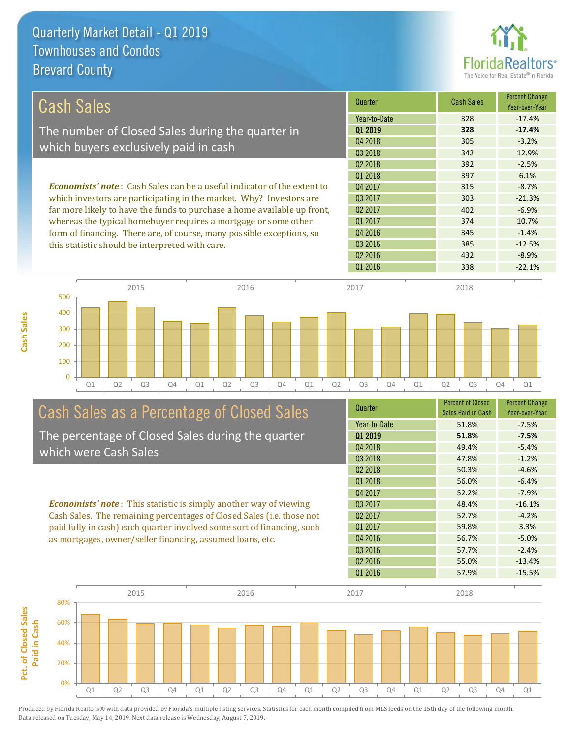

| <b>Cash Sales</b>                                                               | Quarter             | <b>Cash Sales</b> | <b>Percent Change</b><br>Year-over-Year |
|---------------------------------------------------------------------------------|---------------------|-------------------|-----------------------------------------|
|                                                                                 | Year-to-Date        | 328               | $-17.4%$                                |
| The number of Closed Sales during the quarter in                                | 01 2019             | 328               | $-17.4%$                                |
| which buyers exclusively paid in cash                                           | Q4 2018             | 305               | $-3.2%$                                 |
|                                                                                 | Q3 2018             | 342               | 12.9%                                   |
|                                                                                 | 02 2018             | 392               | $-2.5%$                                 |
|                                                                                 | 01 2018             | 397               | 6.1%                                    |
| <b>Economists' note</b> : Cash Sales can be a useful indicator of the extent to | Q4 2017             | 315               | $-8.7%$                                 |
| which investors are participating in the market. Why? Investors are             | 03 2017             | 303               | $-21.3%$                                |
| far more likely to have the funds to purchase a home available up front,        | 02 2017             | 402               | $-6.9%$                                 |
| whereas the typical homebuyer requires a mortgage or some other                 | 01 2017             | 374               | 10.7%                                   |
| form of financing. There are, of course, many possible exceptions, so           | Q4 2016             | 345               | $-1.4%$                                 |
| this statistic should be interpreted with care.                                 | 03 2016             | 385               | $-12.5%$                                |
|                                                                                 | Q <sub>2</sub> 2016 | 432               | $-8.9%$                                 |



# Cash Sales as a Percentage of Closed Sales

The percentage of Closed Sales during the quarter which were Cash Sales

*Economists' note* : This statistic is simply another way of viewing Cash Sales. The remaining percentages of Closed Sales (i.e. those not paid fully in cash) each quarter involved some sort of financing, such as mortgages, owner/seller financing, assumed loans, etc.



Q1 2016 338 -22.1%

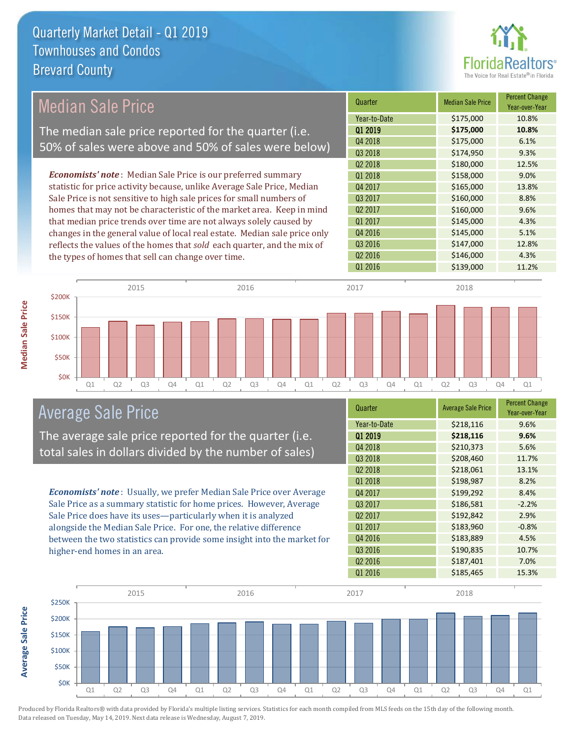

Year-over-Year

#### Quarter Median Sale Price Percent Change Q1 2019 **\$175,000 10.8%** Year-to-Date \$175,000 10.8% Q2 2017 \$160,000 \$160,000 9.6% Q4 2018 **\$175,000** 6.1% Q3 2018 **\$174,950** \$174,950 Q4 2017 \$165,000 13.8% Q3 2017 \$160,000 8.8% Q2 2018 **\$180,000** 12.5% Q1 2018 **\$158,000** 9.0% Q1 2017 **\$145,000** \$145,000 4.3% Q4 2016 **\$145,000** 5.1% Q3 2016 **\$147,000** 12.8% Q2 2016 \$146,000 4.3% Q1 2016 **\$139,000 11.2%** *Economists' note* : Median Sale Price is our preferred summary statistic for price activity because, unlike Average Sale Price, Median Sale Price is not sensitive to high sale prices for small numbers of homes that may not be characteristic of the market area. Keep in mind that median price trends over time are not always solely caused by changes in the general value of local real estate. Median sale price only reflects the values of the homes that *sold* each quarter, and the mix of the types of homes that sell can change over time. Median Sale Price The median sale price reported for the quarter (i.e. 50% of sales were above and 50% of sales were below)



#### Average Sale Price

The average sale price reported for the quarter (i.e. total sales in dollars divided by the number of sales)

*Economists' note* : Usually, we prefer Median Sale Price over Average Sale Price as a summary statistic for home prices. However, Average Sale Price does have its uses—particularly when it is analyzed alongside the Median Sale Price. For one, the relative difference between the two statistics can provide some insight into the market for higher-end homes in an area.

| Quarter             | <b>Average Sale Price</b> | <b>Percent Change</b><br>Year-over-Year |
|---------------------|---------------------------|-----------------------------------------|
| Year-to-Date        | \$218,116                 | 9.6%                                    |
| 01 2019             | \$218,116                 | 9.6%                                    |
| Q4 2018             | \$210,373                 | 5.6%                                    |
| Q3 2018             | \$208,460                 | 11.7%                                   |
| Q <sub>2</sub> 2018 | \$218,061                 | 13.1%                                   |
| Q1 2018             | \$198,987                 | 8.2%                                    |
| Q4 2017             | \$199,292                 | 8.4%                                    |
| 03 2017             | \$186,581                 | $-2.2%$                                 |
| Q <sub>2</sub> 2017 | \$192,842                 | 2.9%                                    |
| Q1 2017             | \$183,960                 | $-0.8%$                                 |
| Q4 2016             | \$183,889                 | 4.5%                                    |
| Q3 2016             | \$190,835                 | 10.7%                                   |
| Q <sub>2</sub> 2016 | \$187,401                 | 7.0%                                    |
| Q1 2016             | \$185,465                 | 15.3%                                   |



Produced by Florida Realtors® with data provided by Florida's multiple listing services. Statistics for each month compiled from MLS feeds on the 15th day of the following month. Data released on Tuesday, May 14, 2019. Next data release is Wednesday, August 7, 2019.

**Average Sale Price**

**Average Sale Price**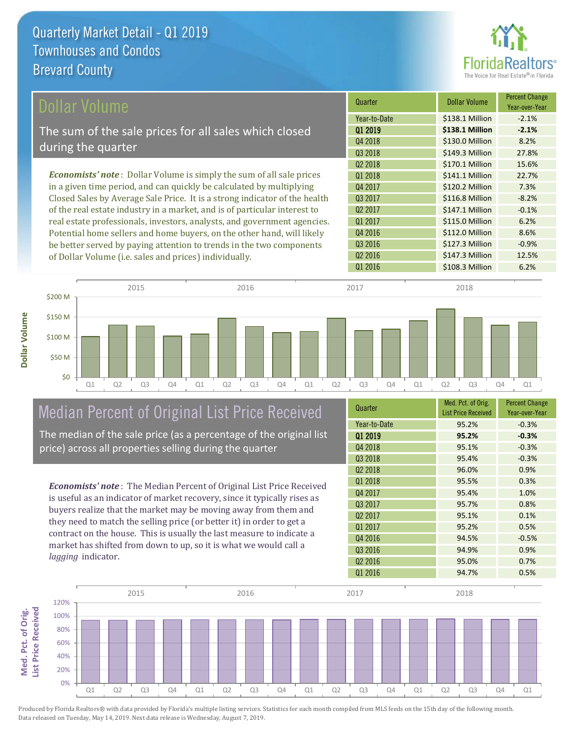

| Dollar Volume                                                                | Quarter             | Dollar Volume   | <b>Percent Change</b><br>Year-over-Year |
|------------------------------------------------------------------------------|---------------------|-----------------|-----------------------------------------|
|                                                                              | Year-to-Date        | \$138.1 Million | $-2.1%$                                 |
| The sum of the sale prices for all sales which closed                        | 01 2019             | \$138.1 Million | $-2.1%$                                 |
|                                                                              | Q4 2018             | \$130.0 Million | 8.2%                                    |
| during the quarter                                                           | Q3 2018             | \$149.3 Million | 27.8%                                   |
|                                                                              | Q <sub>2</sub> 2018 | \$170.1 Million | 15.6%                                   |
| <b>Economists' note</b> : Dollar Volume is simply the sum of all sale prices | Q1 2018             | \$141.1 Million | 22.7%                                   |
| in a given time period, and can quickly be calculated by multiplying         | Q4 2017             | \$120.2 Million | 7.3%                                    |
| Closed Sales by Average Sale Price. It is a strong indicator of the health   | Q3 2017             | \$116.8 Million | $-8.2%$                                 |
| of the real estate industry in a market, and is of particular interest to    | Q <sub>2</sub> 2017 | \$147.1 Million | $-0.1%$                                 |
| real estate professionals, investors, analysts, and government agencies.     | Q1 2017             | \$115.0 Million | 6.2%                                    |
| Potential home sellers and home buyers, on the other hand, will likely       | Q4 2016             | \$112.0 Million | 8.6%                                    |
| be better served by paying attention to trends in the two components         | Q3 2016             | \$127.3 Million | $-0.9%$                                 |
| of Dollar Volume (i.e. sales and prices) individually.                       | Q <sub>2</sub> 2016 | \$147.3 Million | 12.5%                                   |
|                                                                              | Q1 2016             | \$108.3 Million | 6.2%                                    |

| \$200 M |    |    | 2015           |    |    |    | 2016           |    |    |    | 2017           |    |    |    | 2018           |                |    |
|---------|----|----|----------------|----|----|----|----------------|----|----|----|----------------|----|----|----|----------------|----------------|----|
|         |    |    |                |    |    |    |                |    |    |    |                |    |    |    |                |                |    |
| \$150 M |    |    |                |    |    |    |                |    |    |    |                |    |    |    |                |                |    |
| \$100 M |    |    |                |    |    |    |                |    |    |    |                |    |    |    |                |                |    |
| \$50 M  |    |    |                |    |    |    |                |    |    |    |                |    |    |    |                |                |    |
| \$0     |    |    |                |    |    |    |                |    |    |    |                |    |    |    |                |                |    |
|         | Q1 | Q2 | Q <sub>3</sub> | Q4 | Q1 | Q2 | Q <sub>3</sub> | Q4 | Q1 | Q2 | Q <sub>3</sub> | Q4 | Q1 | Q2 | Q <sub>3</sub> | Q <sub>4</sub> | Q1 |

# Median Percent of Original List Price Received

The median of the sale price (as a percentage of the original list price) across all properties selling during the quarter

*Economists' note* : The Median Percent of Original List Price Received is useful as an indicator of market recovery, since it typically rises as buyers realize that the market may be moving away from them and they need to match the selling price (or better it) in order to get a contract on the house. This is usually the last measure to indicate a market has shifted from down to up, so it is what we would call a *lagging* indicator.

| Quarter             | Med. Pct. of Orig.<br><b>List Price Received</b> | <b>Percent Change</b><br>Year-over-Year |
|---------------------|--------------------------------------------------|-----------------------------------------|
| Year-to-Date        | 95.2%                                            | $-0.3%$                                 |
| Q1 2019             | 95.2%                                            | $-0.3%$                                 |
| Q4 2018             | 95.1%                                            | $-0.3%$                                 |
| Q3 2018             | 95.4%                                            | $-0.3%$                                 |
| Q <sub>2</sub> 2018 | 96.0%                                            | 0.9%                                    |
| Q1 2018             | 95.5%                                            | 0.3%                                    |
| Q4 2017             | 95.4%                                            | 1.0%                                    |
| Q3 2017             | 95.7%                                            | 0.8%                                    |
| Q <sub>2</sub> 2017 | 95.1%                                            | 0.1%                                    |
| Q1 2017             | 95.2%                                            | 0.5%                                    |
| Q4 2016             | 94.5%                                            | $-0.5%$                                 |
| Q3 2016             | 94.9%                                            | 0.9%                                    |
| Q <sub>2</sub> 2016 | 95.0%                                            | 0.7%                                    |
| Q1 2016             | 94.7%                                            | 0.5%                                    |

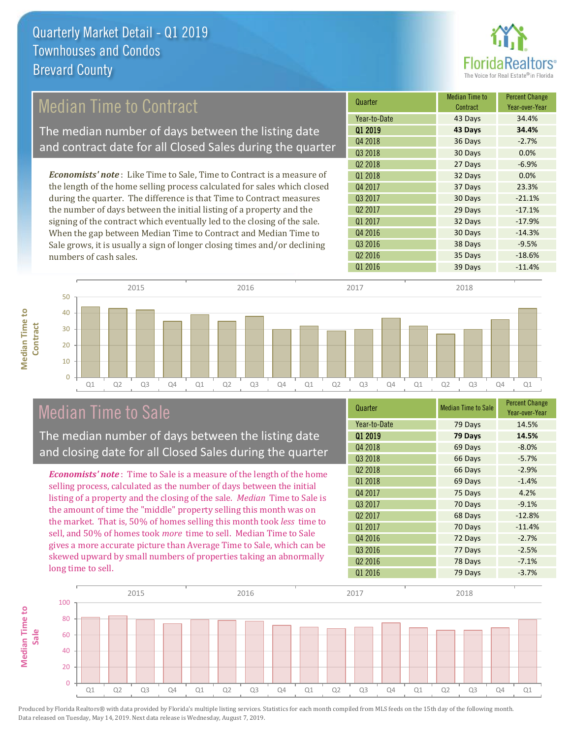

### Median Time to Contract

The median number of days between the listing date and contract date for all Closed Sales during the quarter

*Economists' note* : Like Time to Sale, Time to Contract is a measure of the length of the home selling process calculated for sales which closed during the quarter. The difference is that Time to Contract measures the number of days between the initial listing of a property and the signing of the contract which eventually led to the closing of the sale. When the gap between Median Time to Contract and Median Time to Sale grows, it is usually a sign of longer closing times and/or declining numbers of cash sales.

| Quarter             | <b>Median Time to</b><br>Contract | <b>Percent Change</b><br>Year-over-Year |
|---------------------|-----------------------------------|-----------------------------------------|
| Year-to-Date        | 43 Days                           | 34.4%                                   |
| Q1 2019             | 43 Days                           | 34.4%                                   |
| Q4 2018             | 36 Days                           | $-2.7%$                                 |
| Q3 2018             | 30 Days                           | 0.0%                                    |
| Q <sub>2</sub> 2018 | 27 Days                           | $-6.9%$                                 |
| Q1 2018             | 32 Days                           | 0.0%                                    |
| Q4 2017             | 37 Days                           | 23.3%                                   |
| Q3 2017             | 30 Days                           | $-21.1%$                                |
| Q <sub>2</sub> 2017 | 29 Days                           | $-17.1%$                                |
| Q1 2017             | 32 Days                           | $-17.9%$                                |
| Q4 2016             | 30 Days                           | $-14.3%$                                |
| Q3 2016             | 38 Days                           | $-9.5%$                                 |
| Q <sub>2</sub> 2016 | 35 Days                           | $-18.6%$                                |
| Q1 2016             | 39 Days                           | $-11.4%$                                |



### Median Time to Sale

**Median Time to** 

**Median Time to** 

The median number of days between the listing date and closing date for all Closed Sales during the quarter

*Economists' note* : Time to Sale is a measure of the length of the home selling process, calculated as the number of days between the initial listing of a property and the closing of the sale. *Median* Time to Sale is the amount of time the "middle" property selling this month was on the market. That is, 50% of homes selling this month took *less* time to sell, and 50% of homes took *more* time to sell. Median Time to Sale gives a more accurate picture than Average Time to Sale, which can be skewed upward by small numbers of properties taking an abnormally long time to sell.

| Quarter             | <b>Median Time to Sale</b> | <b>Percent Change</b><br>Year-over-Year |
|---------------------|----------------------------|-----------------------------------------|
| Year-to-Date        | 79 Days                    | 14.5%                                   |
| Q1 2019             | 79 Days                    | 14.5%                                   |
| Q4 2018             | 69 Days                    | $-8.0%$                                 |
| Q3 2018             | 66 Days                    | $-5.7%$                                 |
| Q <sub>2</sub> 2018 | 66 Days                    | $-2.9%$                                 |
| Q1 2018             | 69 Days                    | $-1.4%$                                 |
| Q4 2017             | 75 Days                    | 4.2%                                    |
| Q3 2017             | 70 Days                    | $-9.1%$                                 |
| 02 2017             | 68 Days                    | $-12.8%$                                |
| Q1 2017             | 70 Days                    | $-11.4%$                                |
| Q4 2016             | 72 Days                    | $-2.7%$                                 |
| Q3 2016             | 77 Days                    | $-2.5%$                                 |
| Q <sub>2</sub> 2016 | 78 Days                    | $-7.1%$                                 |
| Q1 2016             | 79 Days                    | $-3.7%$                                 |

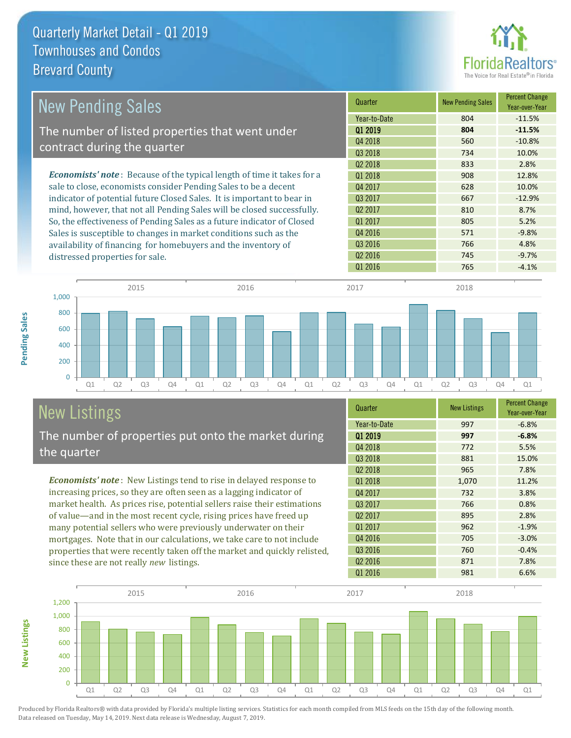

| <b>New Pending Sales</b>                                                      | Quarter             | <b>New Pending Sales</b> | <b>Percent Change</b><br>Year-over-Year |
|-------------------------------------------------------------------------------|---------------------|--------------------------|-----------------------------------------|
|                                                                               | Year-to-Date        | 804                      | $-11.5%$                                |
| The number of listed properties that went under                               | Q1 2019             | 804                      | $-11.5%$                                |
|                                                                               | Q4 2018             | 560                      | $-10.8%$                                |
| contract during the quarter                                                   | Q3 2018             | 734                      | 10.0%                                   |
|                                                                               | Q <sub>2</sub> 2018 | 833                      | 2.8%                                    |
| <b>Economists' note:</b> Because of the typical length of time it takes for a | 01 2018             | 908                      | 12.8%                                   |
| sale to close, economists consider Pending Sales to be a decent               | Q4 2017             | 628                      | 10.0%                                   |
| indicator of potential future Closed Sales. It is important to bear in        | 03 2017             | 667                      | $-12.9%$                                |
| mind, however, that not all Pending Sales will be closed successfully.        | Q <sub>2</sub> 2017 | 810                      | 8.7%                                    |
| So, the effectiveness of Pending Sales as a future indicator of Closed        | Q1 2017             | 805                      | 5.2%                                    |
| Sales is susceptible to changes in market conditions such as the              | Q4 2016             | 571                      | $-9.8%$                                 |
| availability of financing for homebuyers and the inventory of                 | Q3 2016             | 766                      | 4.8%                                    |
| distressed properties for sale.                                               | Q <sub>2</sub> 2016 | 745                      | $-9.7%$                                 |



# New Listings

**New Listings**

**Pending Sales**

Pending Sales

The number of properties put onto the market during the quarter

*Economists' note* : New Listings tend to rise in delayed response to increasing prices, so they are often seen as a lagging indicator of market health. As prices rise, potential sellers raise their estimations of value—and in the most recent cycle, rising prices have freed up many potential sellers who were previously underwater on their mortgages. Note that in our calculations, we take care to not include properties that were recently taken off the market and quickly relisted, since these are not really *new* listings.

| Quarter             | <b>New Listings</b> | <b>Percent Change</b><br>Year-over-Year |
|---------------------|---------------------|-----------------------------------------|
| Year-to-Date        | 997                 | $-6.8%$                                 |
| 01 2019             | 997                 | $-6.8%$                                 |
| Q4 2018             | 772                 | 5.5%                                    |
| Q3 2018             | 881                 | 15.0%                                   |
| Q <sub>2</sub> 2018 | 965                 | 7.8%                                    |
| Q1 2018             | 1,070               | 11.2%                                   |
| Q4 2017             | 732                 | 3.8%                                    |
| Q3 2017             | 766                 | 0.8%                                    |
| Q <sub>2</sub> 2017 | 895                 | 2.8%                                    |
| 01 2017             | 962                 | $-1.9%$                                 |
| Q4 2016             | 705                 | $-3.0%$                                 |
| Q3 2016             | 760                 | $-0.4%$                                 |
| Q <sub>2</sub> 2016 | 871                 | 7.8%                                    |
| Q1 2016             | 981                 | 6.6%                                    |

Q1 2016 **765** -4.1%

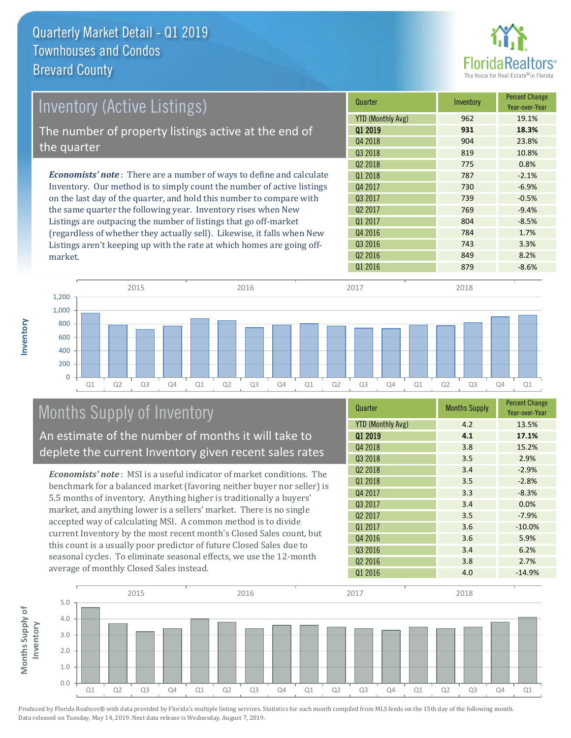

| Inventory (Active Listings)                                                  | Quarter                  | Inventory | <b>Percent Change</b><br>Year-over-Year |
|------------------------------------------------------------------------------|--------------------------|-----------|-----------------------------------------|
|                                                                              | <b>YTD (Monthly Avg)</b> | 962       | 19.1%                                   |
| The number of property listings active at the end of                         | 01 2019                  | 931       | 18.3%                                   |
|                                                                              | Q4 2018                  | 904       | 23.8%                                   |
| the quarter                                                                  | Q3 2018                  | 819       | 10.8%                                   |
|                                                                              | 02 2018                  | 775       | 0.8%                                    |
| <b>Economists' note</b> : There are a number of ways to define and calculate | 01 2018                  | 787       | $-2.1%$                                 |
| Inventory. Our method is to simply count the number of active listings       | Q4 2017                  | 730       | $-6.9%$                                 |
| on the last day of the quarter, and hold this number to compare with         | Q3 2017                  | 739       | $-0.5%$                                 |
| the same quarter the following year. Inventory rises when New                | Q <sub>2</sub> 2017      | 769       | $-9.4%$                                 |
| Listings are outpacing the number of listings that go off-market             | Q1 2017                  | 804       | $-8.5%$                                 |
| (regardless of whether they actually sell). Likewise, it falls when New      | Q4 2016                  | 784       | 1.7%                                    |
| Listings aren't keeping up with the rate at which homes are going off-       | 03 2016                  | 743       | 3.3%                                    |



### Months Supply of Inventory

market.

**Inventory**

An estimate of the number of months it will take to deplete the current Inventory given recent sales rates

*Economists' note* : MSI is a useful indicator of market conditions. The benchmark for a balanced market (favoring neither buyer nor seller) is 5.5 months of inventory. Anything higher is traditionally a buyers' market, and anything lower is a sellers' market. There is no single accepted way of calculating MSI. A common method is to divide current Inventory by the most recent month's Closed Sales count, but this count is a usually poor predictor of future Closed Sales due to seasonal cycles. To eliminate seasonal effects, we use the 12-month average of monthly Closed Sales instead.

| Quarter                  | <b>Months Supply</b> | <b>Percent Change</b><br>Year-over-Year |
|--------------------------|----------------------|-----------------------------------------|
| <b>YTD (Monthly Avg)</b> | 4.2                  | 13.5%                                   |
| 01 2019                  | 4.1                  | 17.1%                                   |
| Q4 2018                  | 3.8                  | 15.2%                                   |
| Q3 2018                  | 3.5                  | 2.9%                                    |
| Q <sub>2</sub> 2018      | 3.4                  | $-2.9%$                                 |
| Q1 2018                  | 3.5                  | $-2.8%$                                 |
| Q4 2017                  | 3.3                  | $-8.3%$                                 |
| Q3 2017                  | 3.4                  | 0.0%                                    |
| Q <sub>2</sub> 2017      | 3.5                  | $-7.9%$                                 |
| Q1 2017                  | 3.6                  | $-10.0%$                                |
| Q4 2016                  | 3.6                  | 5.9%                                    |
| Q3 2016                  | 3.4                  | 6.2%                                    |
| Q <sub>2</sub> 2016      | 3.8                  | 2.7%                                    |
| Q1 2016                  | 4.0                  | $-14.9%$                                |

Q2 2016 849 8.2%

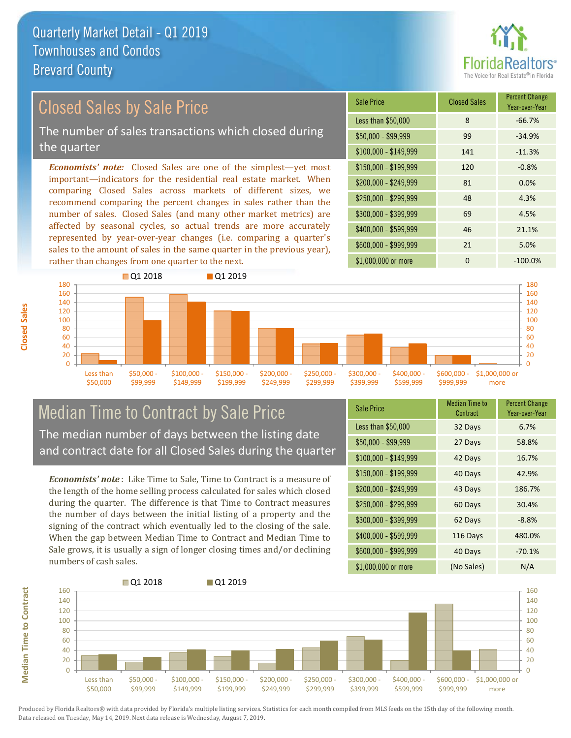

### Closed Sales by Sale Price

The number of sales transactions which closed during the quarter

*Economists' note:* Closed Sales are one of the simplest—yet most important—indicators for the residential real estate market. When comparing Closed Sales across markets of different sizes, we recommend comparing the percent changes in sales rather than the number of sales. Closed Sales (and many other market metrics) are affected by seasonal cycles, so actual trends are more accurately represented by year-over-year changes (i.e. comparing a quarter's sales to the amount of sales in the same quarter in the previous year), rather than changes from one quarter to the next.

| Sale Price            | <b>Closed Sales</b> | <b>Percent Change</b><br>Year-over-Year |
|-----------------------|---------------------|-----------------------------------------|
| Less than \$50,000    | 8                   | $-66.7%$                                |
| $$50,000 - $99,999$   | 99                  | $-34.9%$                                |
| $$100,000 - $149,999$ | 141                 | $-11.3%$                                |
| $$150,000 - $199,999$ | 120                 | $-0.8%$                                 |
| \$200,000 - \$249,999 | 81                  | 0.0%                                    |
| \$250,000 - \$299,999 | 48                  | 4.3%                                    |
| \$300,000 - \$399,999 | 69                  | 4.5%                                    |
| \$400,000 - \$599,999 | 46                  | 21.1%                                   |
| \$600,000 - \$999,999 | 21                  | 5.0%                                    |
| \$1,000,000 or more   | n                   | $-100.0%$                               |



#### Median Time to Contract by Sale Price The median number of days between the listing date and contract date for all Closed Sales during the quarter

*Economists' note* : Like Time to Sale, Time to Contract is a measure of the length of the home selling process calculated for sales which closed during the quarter. The difference is that Time to Contract measures the number of days between the initial listing of a property and the signing of the contract which eventually led to the closing of the sale. When the gap between Median Time to Contract and Median Time to Sale grows, it is usually a sign of longer closing times and/or declining numbers of cash sales.

| <b>Sale Price</b>     | Median Time to<br>Contract | <b>Percent Change</b><br>Year-over-Year |
|-----------------------|----------------------------|-----------------------------------------|
| Less than \$50,000    | 32 Days                    | 6.7%                                    |
| $$50,000 - $99,999$   | 27 Days                    | 58.8%                                   |
| $$100,000 - $149,999$ | 42 Days                    | 16.7%                                   |
| $$150,000 - $199,999$ | 40 Days                    | 42.9%                                   |
| \$200,000 - \$249,999 | 43 Days                    | 186.7%                                  |
| \$250,000 - \$299,999 | 60 Days                    | 30.4%                                   |
| \$300,000 - \$399,999 | 62 Days                    | $-8.8%$                                 |
| \$400,000 - \$599,999 | 116 Days                   | 480.0%                                  |
| \$600,000 - \$999,999 | 40 Days                    | $-70.1%$                                |
| \$1,000,000 or more   | (No Sales)                 | N/A                                     |

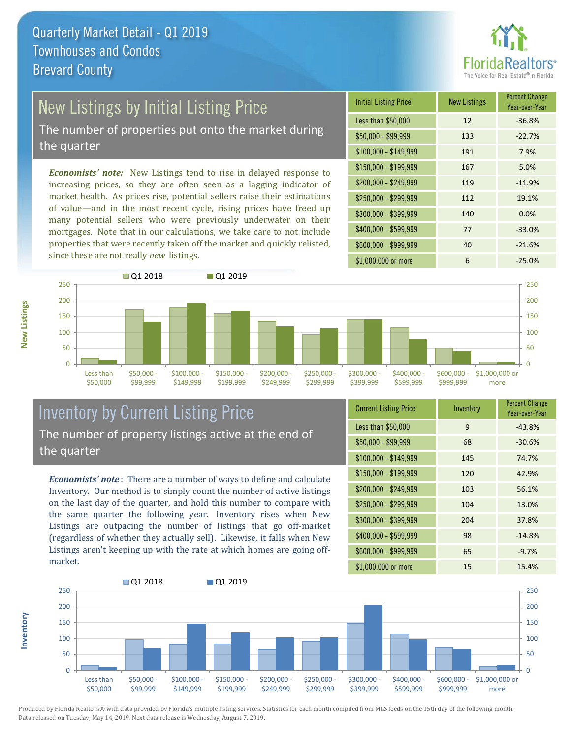

# New Listings by Initial Listing Price

The number of properties put onto the market during the quarter

*Economists' note:* New Listings tend to rise in delayed response to increasing prices, so they are often seen as a lagging indicator of market health. As prices rise, potential sellers raise their estimations of value—and in the most recent cycle, rising prices have freed up many potential sellers who were previously underwater on their mortgages. Note that in our calculations, we take care to not include properties that were recently taken off the market and quickly relisted, since these are not really *new* listings.





#### Inventory by Current Listing Price The number of property listings active at the end of the quarter

*Economists' note* : There are a number of ways to define and calculate Inventory. Our method is to simply count the number of active listings on the last day of the quarter, and hold this number to compare with the same quarter the following year. Inventory rises when New Listings are outpacing the number of listings that go off-market (regardless of whether they actually sell). Likewise, it falls when New Listings aren't keeping up with the rate at which homes are going offmarket.

| <b>Current Listing Price</b> | Inventory | <b>Percent Change</b><br>Year-over-Year |
|------------------------------|-----------|-----------------------------------------|
| Less than \$50,000           | 9         | $-43.8%$                                |
| $$50,000 - $99,999$          | 68        | $-30.6%$                                |
| $$100,000 - $149,999$        | 145       | 74.7%                                   |
| $$150,000 - $199,999$        | 120       | 42.9%                                   |
| \$200,000 - \$249,999        | 103       | 56.1%                                   |
| \$250,000 - \$299,999        | 104       | 13.0%                                   |
| \$300,000 - \$399,999        | 204       | 37.8%                                   |
| \$400,000 - \$599,999        | 98        | $-14.8%$                                |
| \$600,000 - \$999,999        | 65        | $-9.7%$                                 |
| \$1,000,000 or more          | 15        | 15.4%                                   |



**New Listings**